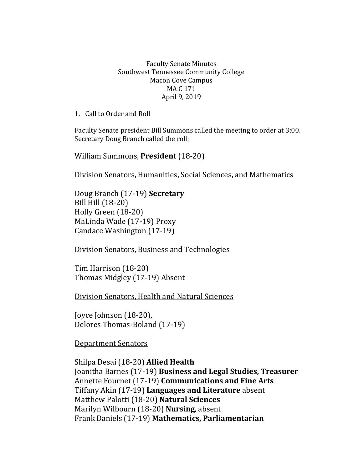## Faculty Senate Minutes Southwest Tennessee Community College Macon Cove Campus MA C 171 April 9, 2019

1. Call to Order and Roll

Faculty Senate president Bill Summons called the meeting to order at 3:00. Secretary Doug Branch called the roll:

William Summons, **President** (18-20)

Division Senators, Humanities, Social Sciences, and Mathematics

Doug Branch (17-19) **Secretary** Bill Hill (18-20) Holly Green (18-20) MaLinda Wade (17-19) Proxy Candace Washington (17-19)

Division Senators, Business and Technologies

Tim Harrison (18-20) Thomas Midgley (17-19) Absent

Division Senators, Health and Natural Sciences

Joyce Johnson (18-20), Delores Thomas-Boland (17-19)

Department Senators

Shilpa Desai (18-20) **Allied Health** Joanitha Barnes (17-19) **Business and Legal Studies, Treasurer**  Annette Fournet (17-19) **Communications and Fine Arts** Tiffany Akin (17-19) **Languages and Literature** absent Matthew Palotti (18-20) **Natural Sciences** Marilyn Wilbourn (18-20) **Nursing**, absent Frank Daniels (17-19) **Mathematics, Parliamentarian**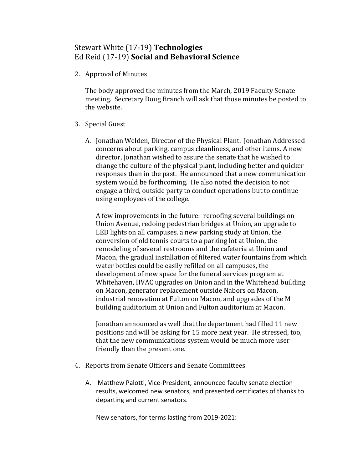## Stewart White (17-19) **Technologies** Ed Reid (17-19) **Social and Behavioral Science**

2. Approval of Minutes

The body approved the minutes from the March, 2019 Faculty Senate meeting. Secretary Doug Branch will ask that those minutes be posted to the website.

- 3. Special Guest
	- A. Jonathan Welden, Director of the Physical Plant. Jonathan Addressed concerns about parking, campus cleanliness, and other items. A new director, Jonathan wished to assure the senate that he wished to change the culture of the physical plant, including better and quicker responses than in the past. He announced that a new communication system would be forthcoming. He also noted the decision to not engage a third, outside party to conduct operations but to continue using employees of the college.

A few improvements in the future: reroofing several buildings on Union Avenue, redoing pedestrian bridges at Union, an upgrade to LED lights on all campuses, a new parking study at Union, the conversion of old tennis courts to a parking lot at Union, the remodeling of several restrooms and the cafeteria at Union and Macon, the gradual installation of filtered water fountains from which water bottles could be easily refilled on all campuses, the development of new space for the funeral services program at Whitehaven, HVAC upgrades on Union and in the Whitehead building on Macon, generator replacement outside Nabors on Macon, industrial renovation at Fulton on Macon, and upgrades of the M building auditorium at Union and Fulton auditorium at Macon.

Jonathan announced as well that the department had filled 11 new positions and will be asking for 15 more next year. He stressed, too, that the new communications system would be much more user friendly than the present one.

- 4. Reports from Senate Officers and Senate Committees
	- A. Matthew Palotti, Vice-President, announced faculty senate election results, welcomed new senators, and presented certificates of thanks to departing and current senators.

New senators, for terms lasting from 2019-2021: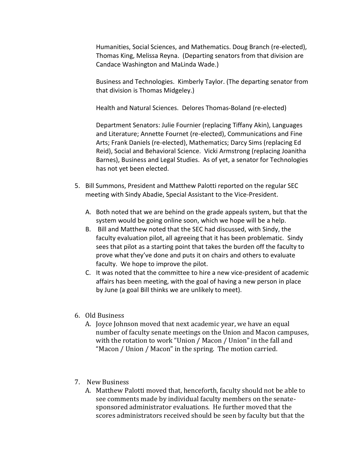Humanities, Social Sciences, and Mathematics. Doug Branch (re-elected), Thomas King, Melissa Reyna. (Departing senators from that division are Candace Washington and MaLinda Wade.)

Business and Technologies. Kimberly Taylor. (The departing senator from that division is Thomas Midgeley.)

Health and Natural Sciences. Delores Thomas-Boland (re-elected)

Department Senators: Julie Fournier (replacing Tiffany Akin), Languages and Literature; Annette Fournet (re-elected), Communications and Fine Arts; Frank Daniels (re-elected), Mathematics; Darcy Sims (replacing Ed Reid), Social and Behavioral Science. Vicki Armstrong (replacing Joanitha Barnes), Business and Legal Studies. As of yet, a senator for Technologies has not yet been elected.

- 5. Bill Summons, President and Matthew Palotti reported on the regular SEC meeting with Sindy Abadie, Special Assistant to the Vice-President.
	- A. Both noted that we are behind on the grade appeals system, but that the system would be going online soon, which we hope will be a help.
	- B. Bill and Matthew noted that the SEC had discussed, with Sindy, the faculty evaluation pilot, all agreeing that it has been problematic. Sindy sees that pilot as a starting point that takes the burden off the faculty to prove what they've done and puts it on chairs and others to evaluate faculty. We hope to improve the pilot.
	- C. It was noted that the committee to hire a new vice-president of academic affairs has been meeting, with the goal of having a new person in place by June (a goal Bill thinks we are unlikely to meet).
- 6. Old Business
	- A. Joyce Johnson moved that next academic year, we have an equal number of faculty senate meetings on the Union and Macon campuses, with the rotation to work "Union / Macon / Union" in the fall and "Macon / Union / Macon" in the spring. The motion carried.
- 7. New Business
	- A. Matthew Palotti moved that, henceforth, faculty should not be able to see comments made by individual faculty members on the senatesponsored administrator evaluations. He further moved that the scores administrators received should be seen by faculty but that the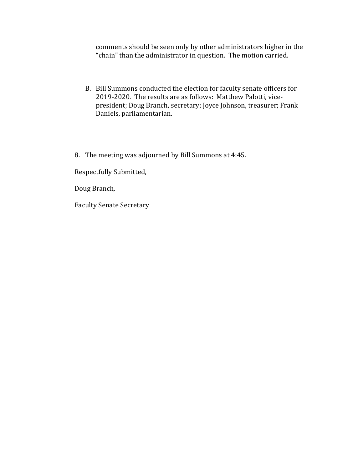comments should be seen only by other administrators higher in the "chain" than the administrator in question. The motion carried.

- B. Bill Summons conducted the election for faculty senate officers for 2019-2020. The results are as follows: Matthew Palotti, vicepresident; Doug Branch, secretary; Joyce Johnson, treasurer; Frank Daniels, parliamentarian.
- 8. The meeting was adjourned by Bill Summons at 4:45.

Respectfully Submitted,

Doug Branch,

Faculty Senate Secretary